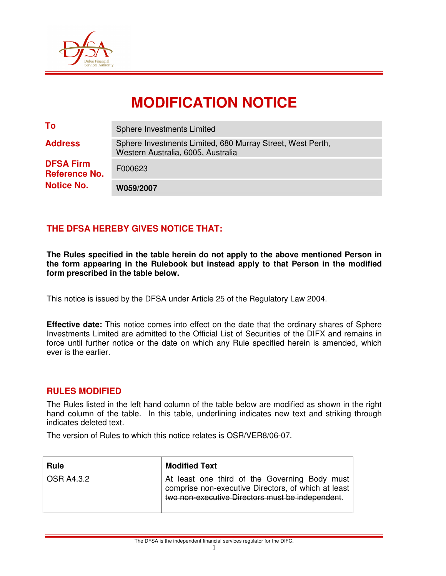

# **MODIFICATION NOTICE**

| <b>Notice No.</b>                        | W059/2007                                                                                        |
|------------------------------------------|--------------------------------------------------------------------------------------------------|
| <b>DFSA Firm</b><br><b>Reference No.</b> | F000623                                                                                          |
| <b>Address</b>                           | Sphere Investments Limited, 680 Murray Street, West Perth,<br>Western Australia, 6005, Australia |
| To                                       | Sphere Investments Limited                                                                       |

### **THE DFSA HEREBY GIVES NOTICE THAT:**

**The Rules specified in the table herein do not apply to the above mentioned Person in the form appearing in the Rulebook but instead apply to that Person in the modified form prescribed in the table below.** 

This notice is issued by the DFSA under Article 25 of the Regulatory Law 2004.

**Effective date:** This notice comes into effect on the date that the ordinary shares of Sphere Investments Limited are admitted to the Official List of Securities of the DIFX and remains in force until further notice or the date on which any Rule specified herein is amended, which ever is the earlier.

#### **RULES MODIFIED**

The Rules listed in the left hand column of the table below are modified as shown in the right hand column of the table. In this table, underlining indicates new text and striking through indicates deleted text.

The version of Rules to which this notice relates is OSR/VER8/06-07.

| <b>Rule</b> | <b>Modified Text</b>                                                                                                                                     |
|-------------|----------------------------------------------------------------------------------------------------------------------------------------------------------|
| OSR A4.3.2  | At least one third of the Governing Body must<br>comprise non-executive Directors, of which at least<br>two non-executive Directors must be independent. |